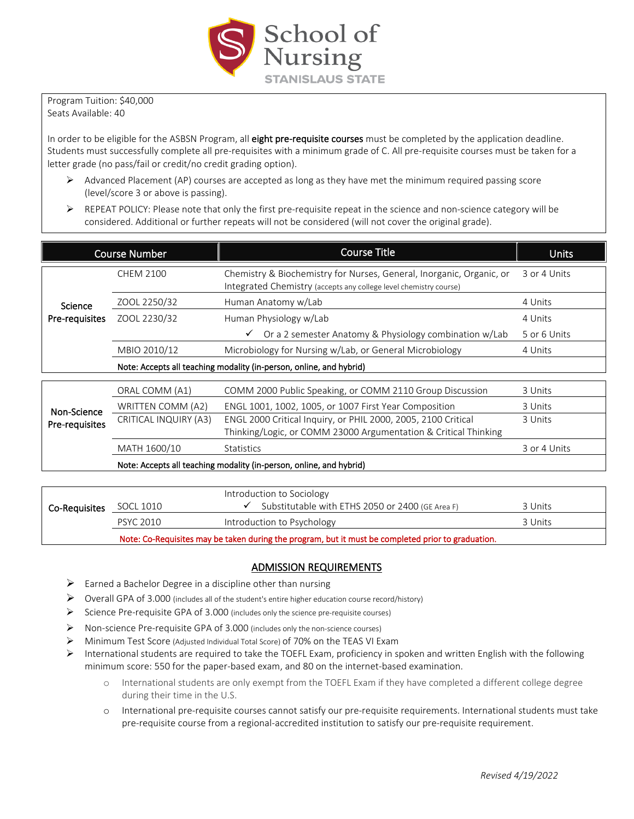

Program Tuition: \$40,000 Seats Available: 40

In order to be eligible for the ASBSN Program, all eight pre-requisite courses must be completed by the application deadline. Students must successfully complete all pre-requisites with a minimum grade of C. All pre-requisite courses must be taken for a letter grade (no pass/fail or credit/no credit grading option).

- $\triangleright$  Advanced Placement (AP) courses are accepted as long as they have met the minimum required passing score (level/score 3 or above is passing).
- ▶ REPEAT POLICY: Please note that only the first pre-requisite repeat in the science and non-science category will be considered. Additional or further repeats will not be considered (will not cover the original grade).

| <b>Course Number</b>          |                                                                     | <b>Course Title</b>                                                                                                                       | <b>Units</b> |  |  |
|-------------------------------|---------------------------------------------------------------------|-------------------------------------------------------------------------------------------------------------------------------------------|--------------|--|--|
| Science<br>Pre-requisites     | <b>CHEM 2100</b>                                                    | Chemistry & Biochemistry for Nurses, General, Inorganic, Organic, or<br>Integrated Chemistry (accepts any college level chemistry course) | 3 or 4 Units |  |  |
|                               | ZOOL 2250/32                                                        | Human Anatomy w/Lab                                                                                                                       | 4 Units      |  |  |
|                               | ZOOL 2230/32                                                        | Human Physiology w/Lab                                                                                                                    | 4 Units      |  |  |
|                               |                                                                     | Or a 2 semester Anatomy & Physiology combination w/Lab<br>✓                                                                               | 5 or 6 Units |  |  |
|                               | MBIO 2010/12                                                        | Microbiology for Nursing w/Lab, or General Microbiology                                                                                   | 4 Units      |  |  |
|                               | Note: Accepts all teaching modality (in-person, online, and hybrid) |                                                                                                                                           |              |  |  |
| Non-Science<br>Pre-requisites |                                                                     |                                                                                                                                           |              |  |  |
|                               | ORAL COMM (A1)                                                      | COMM 2000 Public Speaking, or COMM 2110 Group Discussion                                                                                  | 3 Units      |  |  |
|                               | WRITTEN COMM (A2)                                                   | ENGL 1001, 1002, 1005, or 1007 First Year Composition                                                                                     | 3 Units      |  |  |
|                               | CRITICAL INQUIRY (A3)                                               | ENGL 2000 Critical Inquiry, or PHIL 2000, 2005, 2100 Critical                                                                             | 3 Units      |  |  |
|                               |                                                                     | Thinking/Logic, or COMM 23000 Argumentation & Critical Thinking                                                                           |              |  |  |
|                               | MATH 1600/10                                                        | <b>Statistics</b>                                                                                                                         | 3 or 4 Units |  |  |
|                               | Note: Accepts all teaching modality (in-person, online, and hybrid) |                                                                                                                                           |              |  |  |
|                               |                                                                     |                                                                                                                                           |              |  |  |

|               |                                                                                                    | Introduction to Sociology                        |         |  |  |
|---------------|----------------------------------------------------------------------------------------------------|--------------------------------------------------|---------|--|--|
| Co-Requisites | SOCL 1010                                                                                          | Substitutable with ETHS 2050 or 2400 (GE Area F) | 3 Units |  |  |
|               | <b>PSYC 2010</b>                                                                                   | Introduction to Psychology                       | 3 Units |  |  |
|               | Note: Co-Requisites may be taken during the program, but it must be completed prior to graduation. |                                                  |         |  |  |

## ADMISSION REQUIREMENTS

- $\triangleright$  Earned a Bachelor Degree in a discipline other than nursing
- Overall GPA of 3.000 (includes all of the student's entire higher education course record/history)
- $\triangleright$  Science Pre-requisite GPA of 3.000 (includes only the science pre-requisite courses)
- Non-science Pre-requisite GPA of 3.000 (includes only the non-science courses)
- Minimum Test Score (Adjusted Individual Total Score) of 70% on the TEAS VI Exam
- $\triangleright$  International students are required to take the TOEFL Exam, proficiency in spoken and written English with the following minimum score: 550 for the paper-based exam, and 80 on the internet-based examination.
	- o International students are only exempt from the TOEFL Exam if they have completed a different college degree during their time in the U.S.
	- o International pre-requisite courses cannot satisfy our pre-requisite requirements. International students must take pre-requisite course from a regional-accredited institution to satisfy our pre-requisite requirement.